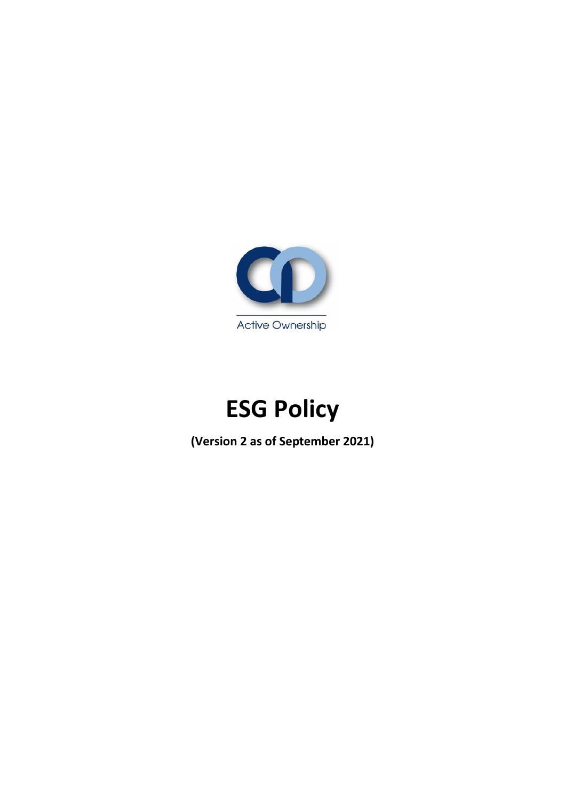

# **ESG Policy**

**(Version 2 as of September 2021)**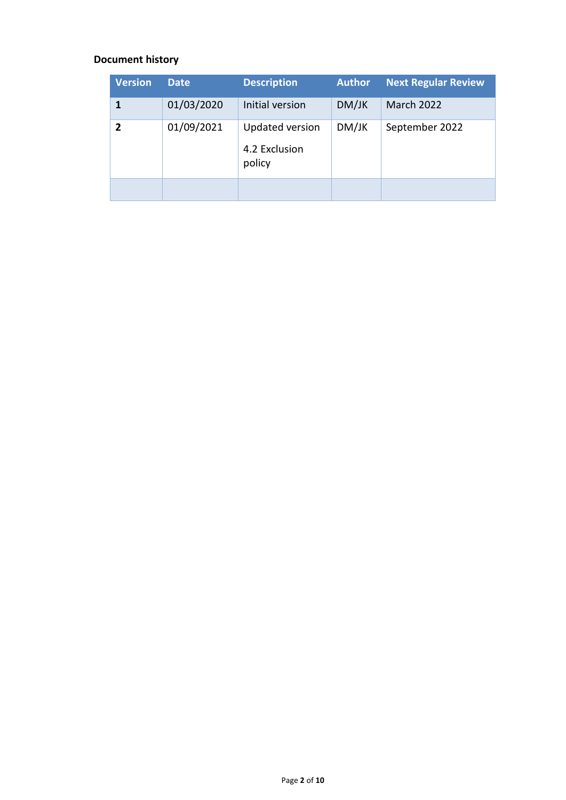### **Document history**

| <b>Version</b> | <b>Date</b> | <b>Description</b>                                | <b>Author</b> | <b>Next Regular Review</b> |
|----------------|-------------|---------------------------------------------------|---------------|----------------------------|
| 1              | 01/03/2020  | Initial version                                   | DM/JK         | <b>March 2022</b>          |
| $\mathbf{2}$   | 01/09/2021  | <b>Updated version</b><br>4.2 Exclusion<br>policy | DM/JK         | September 2022             |
|                |             |                                                   |               |                            |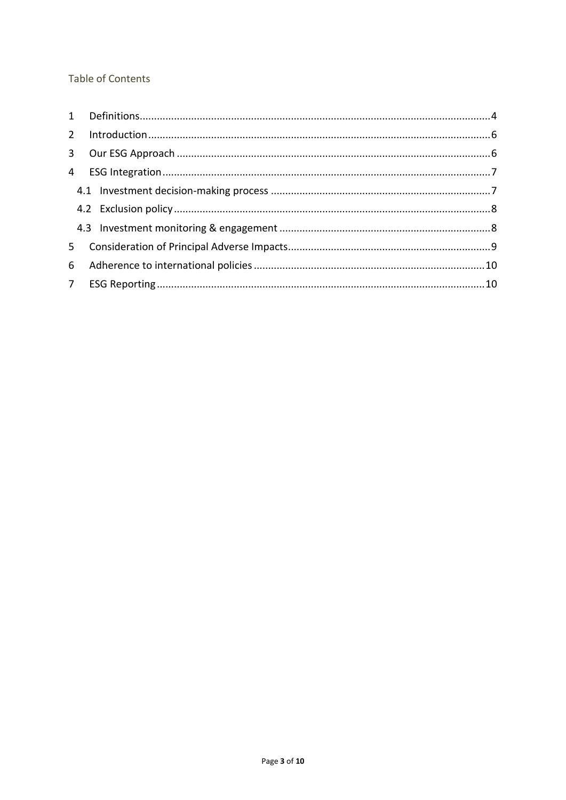#### **Table of Contents**

| 5 |  |  |
|---|--|--|
|   |  |  |
|   |  |  |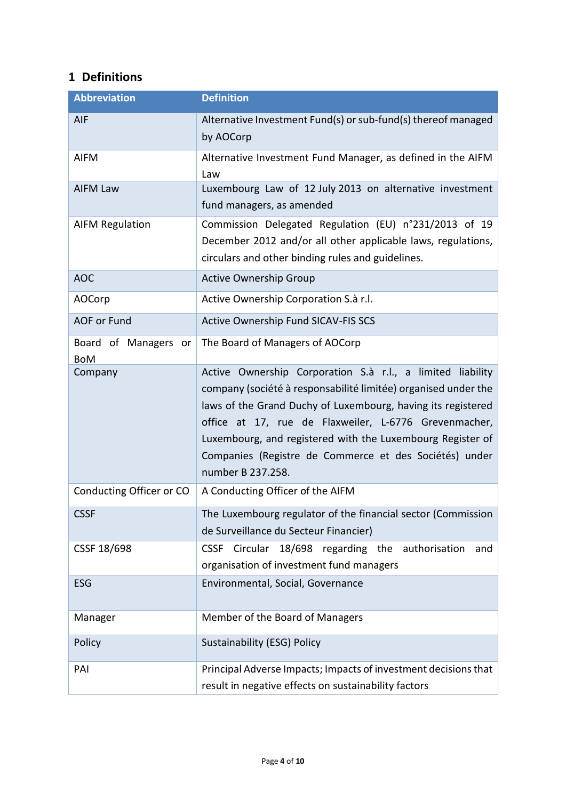## <span id="page-3-0"></span>**1 Definitions**

| <b>Abbreviation</b>                | <b>Definition</b>                                                                                                                                                                                                                                                                                                                                                                                  |  |
|------------------------------------|----------------------------------------------------------------------------------------------------------------------------------------------------------------------------------------------------------------------------------------------------------------------------------------------------------------------------------------------------------------------------------------------------|--|
| AIF                                | Alternative Investment Fund(s) or sub-fund(s) thereof managed<br>by AOCorp                                                                                                                                                                                                                                                                                                                         |  |
| <b>AIFM</b>                        | Alternative Investment Fund Manager, as defined in the AIFM<br>Law                                                                                                                                                                                                                                                                                                                                 |  |
| <b>AIFM Law</b>                    | Luxembourg Law of 12 July 2013 on alternative investment<br>fund managers, as amended                                                                                                                                                                                                                                                                                                              |  |
| <b>AIFM Regulation</b>             | Commission Delegated Regulation (EU) n°231/2013 of 19<br>December 2012 and/or all other applicable laws, regulations,<br>circulars and other binding rules and guidelines.                                                                                                                                                                                                                         |  |
| <b>AOC</b>                         | <b>Active Ownership Group</b>                                                                                                                                                                                                                                                                                                                                                                      |  |
| <b>AOCorp</b>                      | Active Ownership Corporation S.à r.l.                                                                                                                                                                                                                                                                                                                                                              |  |
| <b>AOF or Fund</b>                 | Active Ownership Fund SICAV-FIS SCS                                                                                                                                                                                                                                                                                                                                                                |  |
| Board of Managers or<br><b>BoM</b> | The Board of Managers of AOCorp                                                                                                                                                                                                                                                                                                                                                                    |  |
| Company                            | Active Ownership Corporation S.à r.l., a limited liability<br>company (société à responsabilité limitée) organised under the<br>laws of the Grand Duchy of Luxembourg, having its registered<br>office at 17, rue de Flaxweiler, L-6776 Grevenmacher,<br>Luxembourg, and registered with the Luxembourg Register of<br>Companies (Registre de Commerce et des Sociétés) under<br>number B 237.258. |  |
| Conducting Officer or CO           | A Conducting Officer of the AIFM                                                                                                                                                                                                                                                                                                                                                                   |  |
| <b>CSSF</b>                        | The Luxembourg regulator of the financial sector (Commission<br>de Surveillance du Secteur Financier)                                                                                                                                                                                                                                                                                              |  |
| CSSF 18/698                        | Circular<br>18/698 regarding the<br>authorisation<br><b>CSSF</b><br>and<br>organisation of investment fund managers                                                                                                                                                                                                                                                                                |  |
| ESG                                | Environmental, Social, Governance                                                                                                                                                                                                                                                                                                                                                                  |  |
| Manager                            | Member of the Board of Managers                                                                                                                                                                                                                                                                                                                                                                    |  |
| Policy                             | Sustainability (ESG) Policy                                                                                                                                                                                                                                                                                                                                                                        |  |
| PAI                                | Principal Adverse Impacts; Impacts of investment decisions that<br>result in negative effects on sustainability factors                                                                                                                                                                                                                                                                            |  |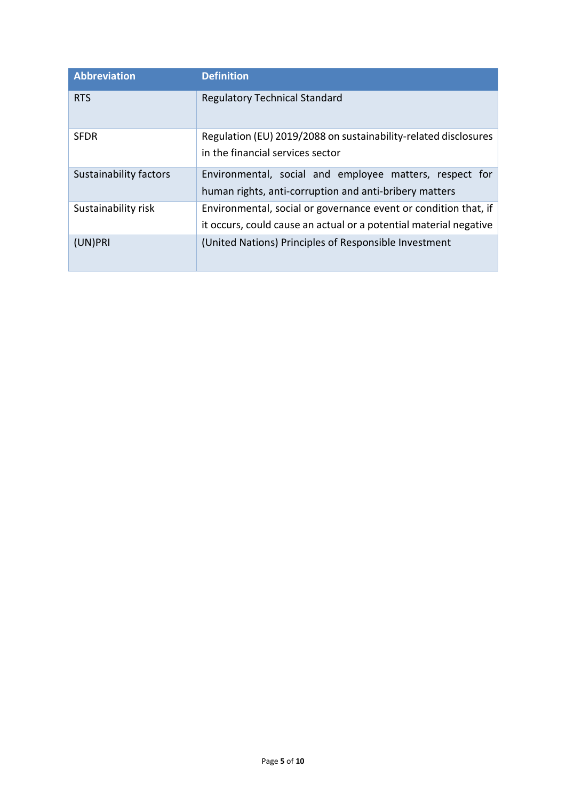| <b>Abbreviation</b>           | <b>Definition</b>                                                                                                                    |
|-------------------------------|--------------------------------------------------------------------------------------------------------------------------------------|
| <b>RTS</b>                    | <b>Regulatory Technical Standard</b>                                                                                                 |
| <b>SFDR</b>                   | Regulation (EU) 2019/2088 on sustainability-related disclosures<br>in the financial services sector                                  |
| <b>Sustainability factors</b> | Environmental, social and employee matters, respect for<br>human rights, anti-corruption and anti-bribery matters                    |
| Sustainability risk           | Environmental, social or governance event or condition that, if<br>it occurs, could cause an actual or a potential material negative |
| (UN)PRI                       | (United Nations) Principles of Responsible Investment                                                                                |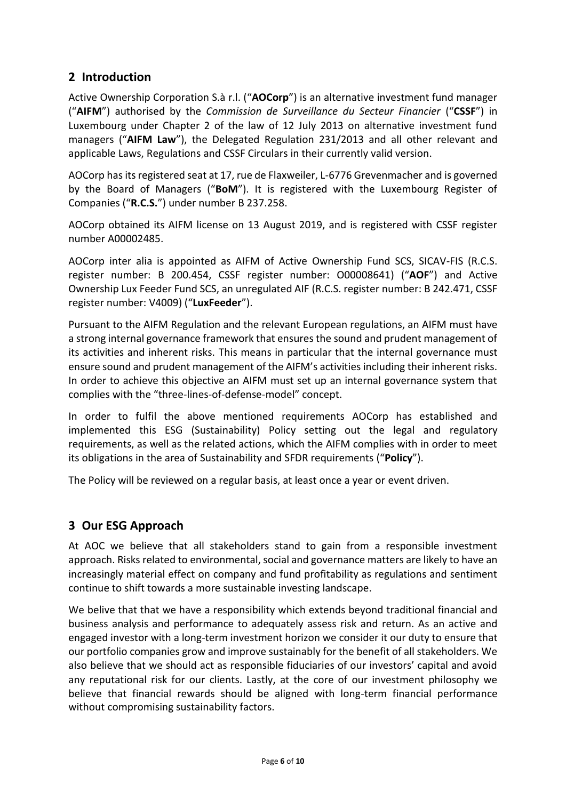## <span id="page-5-0"></span>**2 Introduction**

Active Ownership Corporation S.à r.l. ("**AOCorp**") is an alternative investment fund manager ("**AIFM**") authorised by the *Commission de Surveillance du Secteur Financier* ("**CSSF**") in Luxembourg under Chapter 2 of the law of 12 July 2013 on alternative investment fund managers ("**AIFM Law**"), the Delegated Regulation 231/2013 and all other relevant and applicable Laws, Regulations and CSSF Circulars in their currently valid version.

AOCorp has its registered seat at 17, rue de Flaxweiler, L-6776 Grevenmacher and is governed by the Board of Managers ("**BoM**"). It is registered with the Luxembourg Register of Companies ("**R.C.S.**") under number B 237.258.

AOCorp obtained its AIFM license on 13 August 2019, and is registered with CSSF register number A00002485.

AOCorp inter alia is appointed as AIFM of Active Ownership Fund SCS, SICAV-FIS (R.C.S. register number: B 200.454, CSSF register number: O00008641) ("**AOF**") and Active Ownership Lux Feeder Fund SCS, an unregulated AIF (R.C.S. register number: B 242.471, CSSF register number: V4009) ("**LuxFeeder**").

Pursuant to the AIFM Regulation and the relevant European regulations, an AIFM must have a strong internal governance framework that ensures the sound and prudent management of its activities and inherent risks. This means in particular that the internal governance must ensure sound and prudent management of the AIFM's activities including their inherent risks. In order to achieve this objective an AIFM must set up an internal governance system that complies with the "three-lines-of-defense-model" concept.

In order to fulfil the above mentioned requirements AOCorp has established and implemented this ESG (Sustainability) Policy setting out the legal and regulatory requirements, as well as the related actions, which the AIFM complies with in order to meet its obligations in the area of Sustainability and SFDR requirements ("**Policy**").

The Policy will be reviewed on a regular basis, at least once a year or event driven.

## <span id="page-5-1"></span>**3 Our ESG Approach**

At AOC we believe that all stakeholders stand to gain from a responsible investment approach. Risks related to environmental, social and governance matters are likely to have an increasingly material effect on company and fund profitability as regulations and sentiment continue to shift towards a more sustainable investing landscape.

We belive that that we have a responsibility which extends beyond traditional financial and business analysis and performance to adequately assess risk and return. As an active and engaged investor with a long-term investment horizon we consider it our duty to ensure that our portfolio companies grow and improve sustainably for the benefit of all stakeholders. We also believe that we should act as responsible fiduciaries of our investors' capital and avoid any reputational risk for our clients. Lastly, at the core of our investment philosophy we believe that financial rewards should be aligned with long-term financial performance without compromising sustainability factors.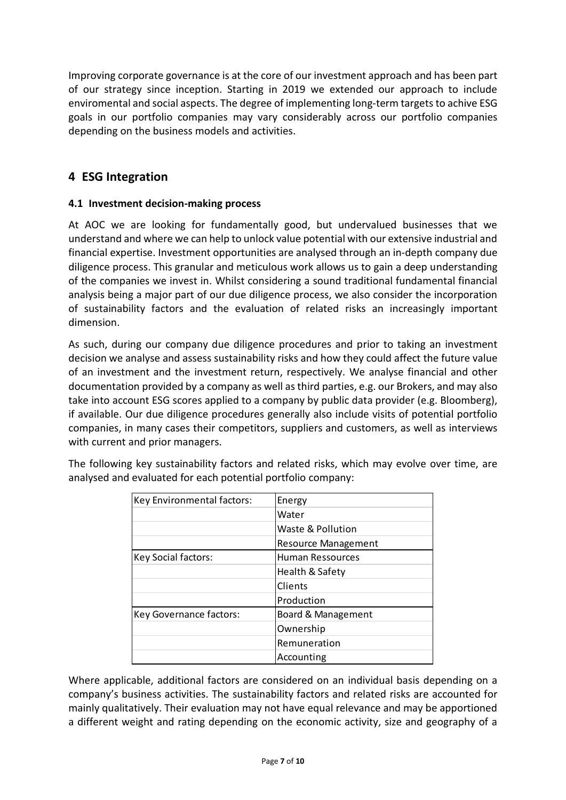Improving corporate governance is at the core of our investment approach and has been part of our strategy since inception. Starting in 2019 we extended our approach to include enviromental and social aspects. The degree of implementing long-term targets to achive ESG goals in our portfolio companies may vary considerably across our portfolio companies depending on the business models and activities.

## <span id="page-6-0"></span>**4 ESG Integration**

#### <span id="page-6-1"></span>**4.1 Investment decision-making process**

At AOC we are looking for fundamentally good, but undervalued businesses that we understand and where we can help to unlock value potential with our extensive industrial and financial expertise. Investment opportunities are analysed through an in-depth company due diligence process. This granular and meticulous work allows us to gain a deep understanding of the companies we invest in. Whilst considering a sound traditional fundamental financial analysis being a major part of our due diligence process, we also consider the incorporation of sustainability factors and the evaluation of related risks an increasingly important dimension.

As such, during our company due diligence procedures and prior to taking an investment decision we analyse and assess sustainability risks and how they could affect the future value of an investment and the investment return, respectively. We analyse financial and other documentation provided by a company as well as third parties, e.g. our Brokers, and may also take into account ESG scores applied to a company by public data provider (e.g. Bloomberg), if available. Our due diligence procedures generally also include visits of potential portfolio companies, in many cases their competitors, suppliers and customers, as well as interviews with current and prior managers.

| Key Environmental factors: | Energy              |  |
|----------------------------|---------------------|--|
|                            | Water               |  |
|                            | Waste & Pollution   |  |
|                            | Resource Management |  |
| Key Social factors:        | Human Ressources    |  |
|                            | Health & Safety     |  |
|                            | Clients             |  |
|                            | Production          |  |
| Key Governance factors:    | Board & Management  |  |
|                            | Ownership           |  |
|                            | Remuneration        |  |
|                            | Accounting          |  |

The following key sustainability factors and related risks, which may evolve over time, are analysed and evaluated for each potential portfolio company:

Where applicable, additional factors are considered on an individual basis depending on a company's business activities. The sustainability factors and related risks are accounted for mainly qualitatively. Their evaluation may not have equal relevance and may be apportioned a different weight and rating depending on the economic activity, size and geography of a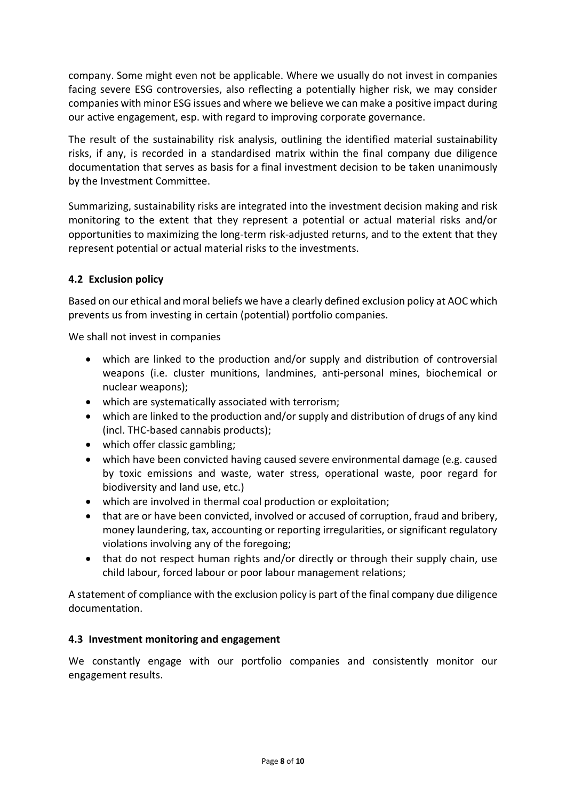company. Some might even not be applicable. Where we usually do not invest in companies facing severe ESG controversies, also reflecting a potentially higher risk, we may consider companies with minor ESG issues and where we believe we can make a positive impact during our active engagement, esp. with regard to improving corporate governance.

The result of the sustainability risk analysis, outlining the identified material sustainability risks, if any, is recorded in a standardised matrix within the final company due diligence documentation that serves as basis for a final investment decision to be taken unanimously by the Investment Committee.

Summarizing, sustainability risks are integrated into the investment decision making and risk monitoring to the extent that they represent a potential or actual material risks and/or opportunities to maximizing the long-term risk-adjusted returns, and to the extent that they represent potential or actual material risks to the investments.

#### <span id="page-7-0"></span>**4.2 Exclusion policy**

Based on our ethical and moral beliefs we have a clearly defined exclusion policy at AOC which prevents us from investing in certain (potential) portfolio companies.

We shall not invest in companies

- which are linked to the production and/or supply and distribution of controversial weapons (i.e. cluster munitions, landmines, anti-personal mines, biochemical or nuclear weapons);
- which are systematically associated with terrorism;
- which are linked to the production and/or supply and distribution of drugs of any kind (incl. THC-based cannabis products);
- which offer classic gambling:
- which have been convicted having caused severe environmental damage (e.g. caused by toxic emissions and waste, water stress, operational waste, poor regard for biodiversity and land use, etc.)
- which are involved in thermal coal production or exploitation;
- that are or have been convicted, involved or accused of corruption, fraud and bribery, money laundering, tax, accounting or reporting irregularities, or significant regulatory violations involving any of the foregoing;
- that do not respect human rights and/or directly or through their supply chain, use child labour, forced labour or poor labour management relations;

A statement of compliance with the exclusion policy is part of the final company due diligence documentation.

#### <span id="page-7-1"></span>**4.3 Investment monitoring and engagement**

We constantly engage with our portfolio companies and consistently monitor our engagement results.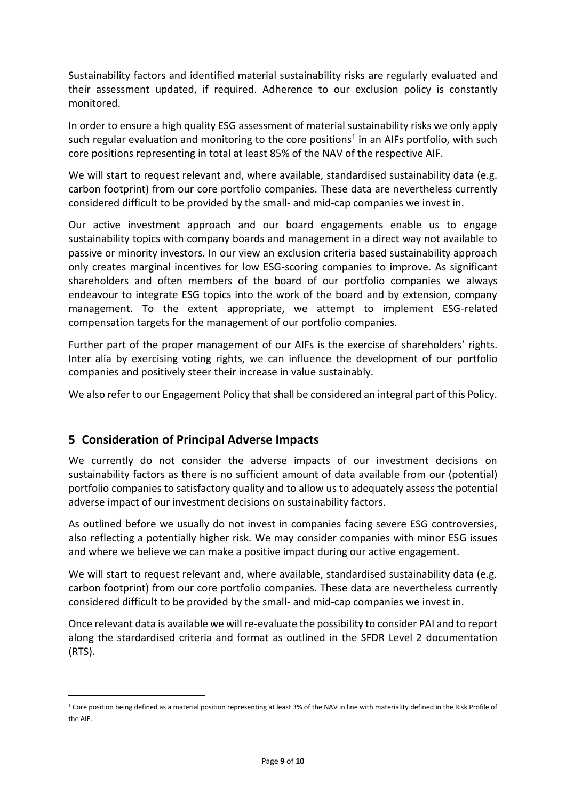Sustainability factors and identified material sustainability risks are regularly evaluated and their assessment updated, if required. Adherence to our exclusion policy is constantly monitored.

In order to ensure a high quality ESG assessment of material sustainability risks we only apply such regular evaluation and monitoring to the core positions<sup>1</sup> in an AIFs portfolio, with such core positions representing in total at least 85% of the NAV of the respective AIF.

We will start to request relevant and, where available, standardised sustainability data (e.g. carbon footprint) from our core portfolio companies. These data are nevertheless currently considered difficult to be provided by the small- and mid-cap companies we invest in.

Our active investment approach and our board engagements enable us to engage sustainability topics with company boards and management in a direct way not available to passive or minority investors. In our view an exclusion criteria based sustainability approach only creates marginal incentives for low ESG-scoring companies to improve. As significant shareholders and often members of the board of our portfolio companies we always endeavour to integrate ESG topics into the work of the board and by extension, company management. To the extent appropriate, we attempt to implement ESG-related compensation targets for the management of our portfolio companies.

Further part of the proper management of our AIFs is the exercise of shareholders' rights. Inter alia by exercising voting rights, we can influence the development of our portfolio companies and positively steer their increase in value sustainably.

We also refer to our Engagement Policy that shall be considered an integral part of this Policy.

## <span id="page-8-0"></span>**5 Consideration of Principal Adverse Impacts**

1

We currently do not consider the adverse impacts of our investment decisions on sustainability factors as there is no sufficient amount of data available from our (potential) portfolio companies to satisfactory quality and to allow us to adequately assess the potential adverse impact of our investment decisions on sustainability factors.

As outlined before we usually do not invest in companies facing severe ESG controversies, also reflecting a potentially higher risk. We may consider companies with minor ESG issues and where we believe we can make a positive impact during our active engagement.

We will start to request relevant and, where available, standardised sustainability data (e.g. carbon footprint) from our core portfolio companies. These data are nevertheless currently considered difficult to be provided by the small- and mid-cap companies we invest in.

Once relevant data is available we will re-evaluate the possibility to consider PAI and to report along the stardardised criteria and format as outlined in the SFDR Level 2 documentation (RTS).

<sup>&</sup>lt;sup>1</sup> Core position being defined as a material position representing at least 3% of the NAV in line with materiality defined in the Risk Profile of the AIF.